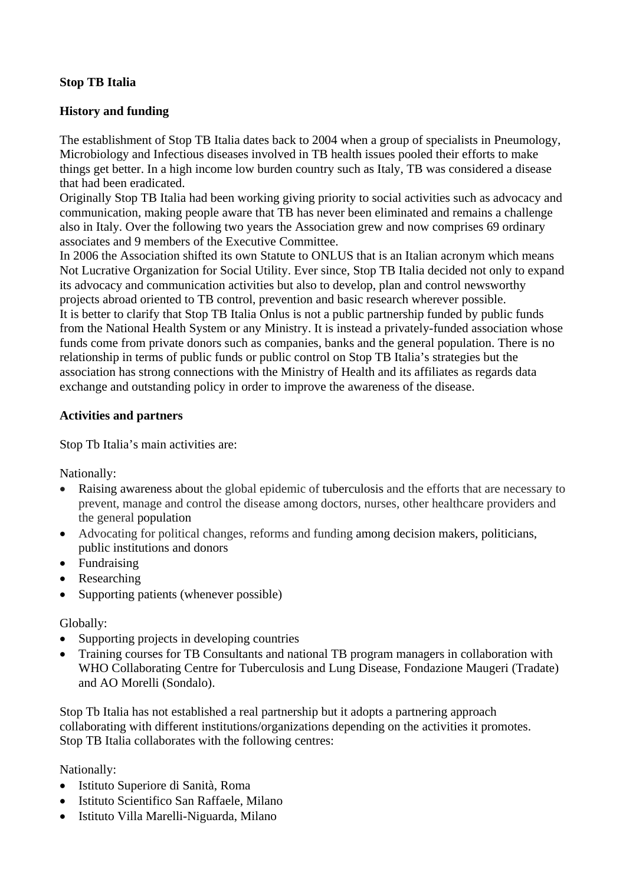# **Stop TB Italia**

# **History and funding**

The establishment of Stop TB Italia dates back to 2004 when a group of specialists in Pneumology, Microbiology and Infectious diseases involved in TB health issues pooled their efforts to make things get better. In a high income low burden country such as Italy, TB was considered a disease that had been eradicated.

Originally Stop TB Italia had been working giving priority to social activities such as advocacy and communication, making people aware that TB has never been eliminated and remains a challenge also in Italy. Over the following two years the Association grew and now comprises 69 ordinary associates and 9 members of the Executive Committee.

In 2006 the Association shifted its own Statute to ONLUS that is an Italian acronym which means Not Lucrative Organization for Social Utility. Ever since, Stop TB Italia decided not only to expand its advocacy and communication activities but also to develop, plan and control newsworthy projects abroad oriented to TB control, prevention and basic research wherever possible.

It is better to clarify that Stop TB Italia Onlus is not a public partnership funded by public funds from the National Health System or any Ministry. It is instead a privately-funded association whose funds come from private donors such as companies, banks and the general population. There is no relationship in terms of public funds or public control on Stop TB Italia's strategies but the association has strong connections with the Ministry of Health and its affiliates as regards data exchange and outstanding policy in order to improve the awareness of the disease.

#### **Activities and partners**

Stop Tb Italia's main activities are:

Nationally:

- Raising awareness about the global epidemic of tuberculosis and the efforts that are necessary to prevent, manage and control the disease among doctors, nurses, other healthcare providers and the general population
- Advocating for political changes, reforms and funding among decision makers, politicians, public institutions and donors
- Fundraising
- Researching
- Supporting patients (whenever possible)

Globally:

- Supporting projects in developing countries
- Training courses for TB Consultants and national TB program managers in collaboration with WHO Collaborating Centre for Tuberculosis and Lung Disease, Fondazione Maugeri (Tradate) and AO Morelli (Sondalo).

Stop Tb Italia has not established a real partnership but it adopts a partnering approach collaborating with different institutions/organizations depending on the activities it promotes. Stop TB Italia collaborates with the following centres:

Nationally:

- Istituto Superiore di Sanità, Roma
- **•** Istituto Scientifico San Raffaele, Milano
- Istituto Villa Marelli-Niguarda, Milano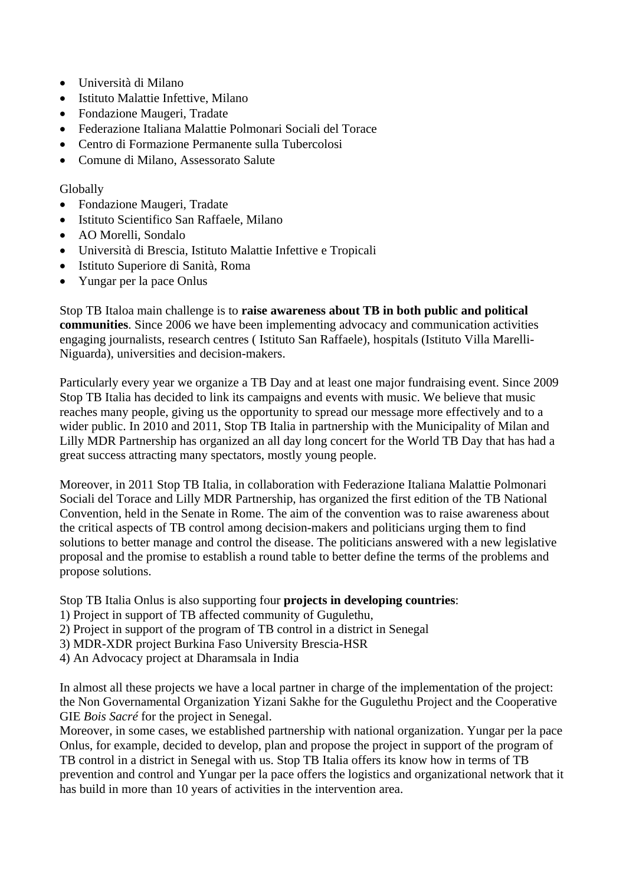- Università di Milano
- Istituto Malattie Infettive, Milano
- Fondazione Maugeri, Tradate
- Federazione Italiana Malattie Polmonari Sociali del Torace
- Centro di Formazione Permanente sulla Tubercolosi
- Comune di Milano, Assessorato Salute

## Globally

- Fondazione Maugeri, Tradate
- Istituto Scientifico San Raffaele, Milano
- AO Morelli, Sondalo
- Università di Brescia, Istituto Malattie Infettive e Tropicali
- Istituto Superiore di Sanità, Roma
- Yungar per la pace Onlus

Stop TB Italoa main challenge is to **raise awareness about TB in both public and political communities**. Since 2006 we have been implementing advocacy and communication activities engaging journalists, research centres ( Istituto San Raffaele), hospitals (Istituto Villa Marelli-Niguarda), universities and decision-makers.

Particularly every year we organize a TB Day and at least one major fundraising event. Since 2009 Stop TB Italia has decided to link its campaigns and events with music. We believe that music reaches many people, giving us the opportunity to spread our message more effectively and to a wider public. In 2010 and 2011, Stop TB Italia in partnership with the Municipality of Milan and Lilly MDR Partnership has organized an all day long concert for the World TB Day that has had a great success attracting many spectators, mostly young people.

Moreover, in 2011 Stop TB Italia, in collaboration with Federazione Italiana Malattie Polmonari Sociali del Torace and Lilly MDR Partnership, has organized the first edition of the TB National Convention, held in the Senate in Rome. The aim of the convention was to raise awareness about the critical aspects of TB control among decision-makers and politicians urging them to find solutions to better manage and control the disease. The politicians answered with a new legislative proposal and the promise to establish a round table to better define the terms of the problems and propose solutions.

Stop TB Italia Onlus is also supporting four **projects in developing countries**:

- 1) Project in support of TB affected community of Gugulethu,
- 2) Project in support of the program of TB control in a district in Senegal
- 3) MDR-XDR project Burkina Faso University Brescia-HSR
- 4) An Advocacy project at Dharamsala in India

In almost all these projects we have a local partner in charge of the implementation of the project: the Non Governamental Organization Yizani Sakhe for the Gugulethu Project and the Cooperative GIE *Bois Sacré* for the project in Senegal.

Moreover, in some cases, we established partnership with national organization. Yungar per la pace Onlus, for example, decided to develop, plan and propose the project in support of the program of TB control in a district in Senegal with us. Stop TB Italia offers its know how in terms of TB prevention and control and Yungar per la pace offers the logistics and organizational network that it has build in more than 10 years of activities in the intervention area.